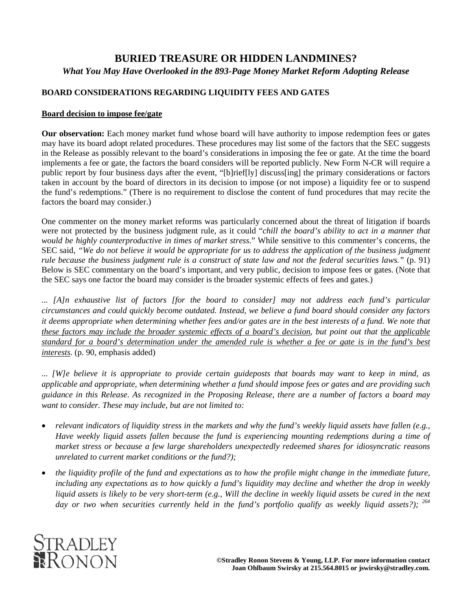# **BURIED TREASURE OR HIDDEN LANDMINES?** *What You May Have Overlooked in the 893-Page Money Market Reform Adopting Release*

# **BOARD CONSIDERATIONS REGARDING LIQUIDITY FEES AND GATES**

#### **Board decision to impose fee/gate**

**Our observation:** Each money market fund whose board will have authority to impose redemption fees or gates may have its board adopt related procedures. These procedures may list some of the factors that the SEC suggests in the Release as possibly relevant to the board's considerations in imposing the fee or gate. At the time the board implements a fee or gate, the factors the board considers will be reported publicly. New Form N-CR will require a public report by four business days after the event, "[b]rief[ly] discuss[ing] the primary considerations or factors taken in account by the board of directors in its decision to impose (or not impose) a liquidity fee or to suspend the fund's redemptions." (There is no requirement to disclose the content of fund procedures that may recite the factors the board may consider.)

One commenter on the money market reforms was particularly concerned about the threat of litigation if boards were not protected by the business judgment rule, as it could "*chill the board's ability to act in a manner that would be highly counterproductive in times of market stress*." While sensitive to this commenter's concerns, the SEC said, *"We do not believe it would be appropriate for us to address the application of the business judgment rule because the business judgment rule is a construct of state law and not the federal securities laws."* (p. 91) Below is SEC commentary on the board's important, and very public, decision to impose fees or gates. (Note that the SEC says one factor the board may consider is the broader systemic effects of fees and gates.)

*... [A]n exhaustive list of factors [for the board to consider] may not address each fund's particular circumstances and could quickly become outdated. Instead, we believe a fund board should consider any factors it deems appropriate when determining whether fees and/or gates are in the best interests of a fund. We note that these factors may include the broader systemic effects of a board's decision, but point out that the applicable standard for a board's determination under the amended rule is whether a fee or gate is in the fund's best interests*. (p. 90, emphasis added)

*... [W]e believe it is appropriate to provide certain guideposts that boards may want to keep in mind, as applicable and appropriate, when determining whether a fund should impose fees or gates and are providing such guidance in this Release. As recognized in the Proposing Release, there are a number of factors a board may want to consider. These may include, but are not limited to:* 

- *relevant indicators of liquidity stress in the markets and why the fund's weekly liquid assets have fallen (e.g., Have weekly liquid assets fallen because the fund is experiencing mounting redemptions during a time of market stress or because a few large shareholders unexpectedly redeemed shares for idiosyncratic reasons unrelated to current market conditions or the fund?);*
- *the liquidity profile of the fund and expectations as to how the profile might change in the immediate future, including any expectations as to how quickly a fund's liquidity may decline and whether the drop in weekly liquid assets is likely to be very short-term (e.g., Will the decline in weekly liquid assets be cured in the next day or two when securities currently held in the fund's portfolio qualify as weekly liquid assets?); <sup>264</sup>*

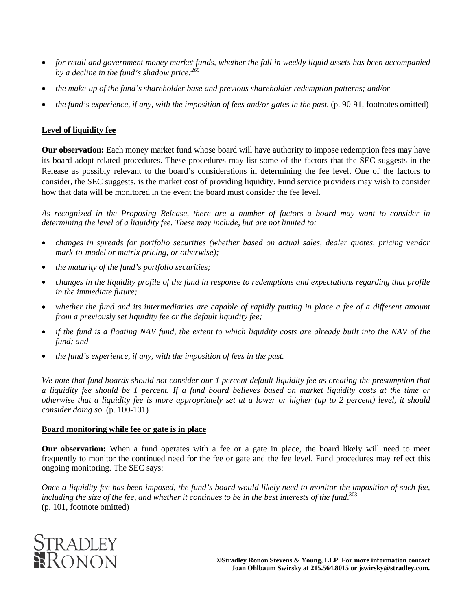- *for retail and government money market funds, whether the fall in weekly liquid assets has been accompanied by a decline in the fund's shadow price;<sup>265</sup>*
- *the make-up of the fund's shareholder base and previous shareholder redemption patterns; and/or*
- *the fund's experience, if any, with the imposition of fees and/or gates in the past*. (p. 90-91, footnotes omitted)

# **Level of liquidity fee**

**Our observation:** Each money market fund whose board will have authority to impose redemption fees may have its board adopt related procedures. These procedures may list some of the factors that the SEC suggests in the Release as possibly relevant to the board's considerations in determining the fee level. One of the factors to consider, the SEC suggests, is the market cost of providing liquidity. Fund service providers may wish to consider how that data will be monitored in the event the board must consider the fee level.

*As recognized in the Proposing Release, there are a number of factors a board may want to consider in determining the level of a liquidity fee. These may include, but are not limited to:* 

- *changes in spreads for portfolio securities (whether based on actual sales, dealer quotes, pricing vendor mark-to-model or matrix pricing, or otherwise);*
- *the maturity of the fund's portfolio securities;*
- *changes in the liquidity profile of the fund in response to redemptions and expectations regarding that profile in the immediate future;*
- *whether the fund and its intermediaries are capable of rapidly putting in place a fee of a different amount from a previously set liquidity fee or the default liquidity fee;*
- *if the fund is a floating NAV fund, the extent to which liquidity costs are already built into the NAV of the fund; and*
- *the fund's experience, if any, with the imposition of fees in the past.*

*We note that fund boards should not consider our 1 percent default liquidity fee as creating the presumption that a liquidity fee should be 1 percent. If a fund board believes based on market liquidity costs at the time or otherwise that a liquidity fee is more appropriately set at a lower or higher (up to 2 percent) level, it should consider doing so.* (p. 100-101)

#### **Board monitoring while fee or gate is in place**

**Our observation:** When a fund operates with a fee or a gate in place, the board likely will need to meet frequently to monitor the continued need for the fee or gate and the fee level. Fund procedures may reflect this ongoing monitoring. The SEC says:

*Once a liquidity fee has been imposed, the fund's board would likely need to monitor the imposition of such fee, including the size of the fee, and whether it continues to be in the best interests of the fund*. 303 (p. 101, footnote omitted)

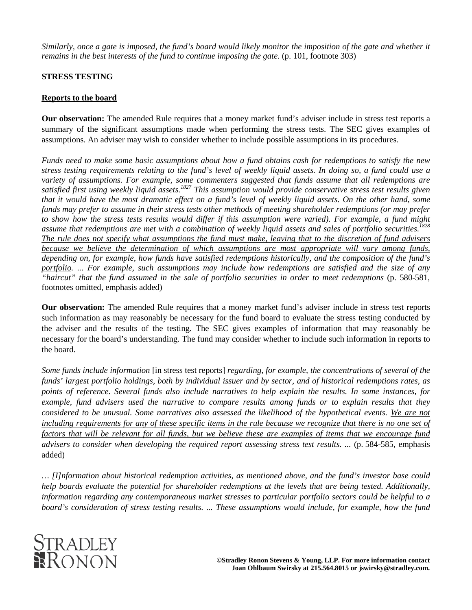*Similarly, once a gate is imposed, the fund's board would likely monitor the imposition of the gate and whether it remains in the best interests of the fund to continue imposing the gate.* (p. 101, footnote 303)

### **STRESS TESTING**

# **Reports to the board**

**Our observation:** The amended Rule requires that a money market fund's adviser include in stress test reports a summary of the significant assumptions made when performing the stress tests. The SEC gives examples of assumptions. An adviser may wish to consider whether to include possible assumptions in its procedures.

*Funds need to make some basic assumptions about how a fund obtains cash for redemptions to satisfy the new stress testing requirements relating to the fund's level of weekly liquid assets. In doing so, a fund could use a variety of assumptions. For example, some commenters suggested that funds assume that all redemptions are satisfied first using weekly liquid assets.1827 This assumption would provide conservative stress test results given that it would have the most dramatic effect on a fund's level of weekly liquid assets. On the other hand, some funds may prefer to assume in their stress tests other methods of meeting shareholder redemptions (or may prefer to show how the stress tests results would differ if this assumption were varied). For example, a fund might assume that redemptions are met with a combination of weekly liquid assets and sales of portfolio securities.1828 The rule does not specify what assumptions the fund must make, leaving that to the discretion of fund advisers because we believe the determination of which assumptions are most appropriate will vary among funds, depending on, for example, how funds have satisfied redemptions historically, and the composition of the fund's portfolio. ... For example, such assumptions may include how redemptions are satisfied and the size of any "haircut" that the fund assumed in the sale of portfolio securities in order to meet redemptions* (p. 580-581, footnotes omitted, emphasis added)

**Our observation:** The amended Rule requires that a money market fund's adviser include in stress test reports such information as may reasonably be necessary for the fund board to evaluate the stress testing conducted by the adviser and the results of the testing. The SEC gives examples of information that may reasonably be necessary for the board's understanding. The fund may consider whether to include such information in reports to the board.

*Some funds include information* [in stress test reports] *regarding, for example, the concentrations of several of the funds' largest portfolio holdings, both by individual issuer and by sector, and of historical redemptions rates, as points of reference. Several funds also include narratives to help explain the results. In some instances, for example, fund advisers used the narrative to compare results among funds or to explain results that they considered to be unusual. Some narratives also assessed the likelihood of the hypothetical events. We are not including requirements for any of these specific items in the rule because we recognize that there is no one set of* factors that will be relevant for all funds, but we believe these are examples of items that we encourage fund *advisers to consider when developing the required report assessing stress test results. ...* (p. 584-585, emphasis added)

*… [I]nformation about historical redemption activities, as mentioned above, and the fund's investor base could help boards evaluate the potential for shareholder redemptions at the levels that are being tested. Additionally, information regarding any contemporaneous market stresses to particular portfolio sectors could be helpful to a board's consideration of stress testing results. ... These assumptions would include, for example, how the fund* 

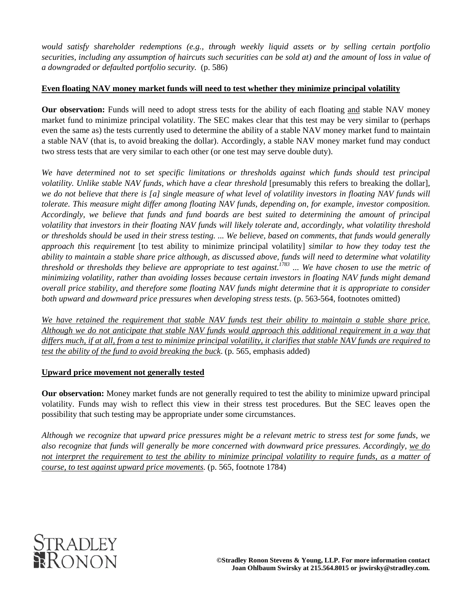*would satisfy shareholder redemptions (e.g., through weekly liquid assets or by selling certain portfolio securities, including any assumption of haircuts such securities can be sold at) and the amount of loss in value of a downgraded or defaulted portfolio security.* (p. 586)

# **Even floating NAV money market funds will need to test whether they minimize principal volatility**

**Our observation:** Funds will need to adopt stress tests for the ability of each floating and stable NAV money market fund to minimize principal volatility. The SEC makes clear that this test may be very similar to (perhaps even the same as) the tests currently used to determine the ability of a stable NAV money market fund to maintain a stable NAV (that is, to avoid breaking the dollar). Accordingly, a stable NAV money market fund may conduct two stress tests that are very similar to each other (or one test may serve double duty).

*We have determined not to set specific limitations or thresholds against which funds should test principal volatility. Unlike stable NAV funds, which have a clear threshold* [presumably this refers to breaking the dollar], *we do not believe that there is [a] single measure of what level of volatility investors in floating NAV funds will tolerate. This measure might differ among floating NAV funds, depending on, for example, investor composition. Accordingly, we believe that funds and fund boards are best suited to determining the amount of principal volatility that investors in their floating NAV funds will likely tolerate and, accordingly, what volatility threshold or thresholds should be used in their stress testing. ... We believe, based on comments, that funds would generally approach this requirement* [to test ability to minimize principal volatility] *similar to how they today test the ability to maintain a stable share price although, as discussed above, funds will need to determine what volatility threshold or thresholds they believe are appropriate to test against.1783 ... We have chosen to use the metric of minimizing volatility, rather than avoiding losses because certain investors in floating NAV funds might demand overall price stability, and therefore some floating NAV funds might determine that it is appropriate to consider both upward and downward price pressures when developing stress tests.* (p. 563-564, footnotes omitted)

*We have retained the requirement that stable NAV funds test their ability to maintain a stable share price. Although we do not anticipate that stable NAV funds would approach this additional requirement in a way that differs much, if at all, from a test to minimize principal volatility, it clarifies that stable NAV funds are required to test the ability of the fund to avoid breaking the buck*. (p. 565, emphasis added)

# **Upward price movement not generally tested**

**Our observation:** Money market funds are not generally required to test the ability to minimize upward principal volatility. Funds may wish to reflect this view in their stress test procedures. But the SEC leaves open the possibility that such testing may be appropriate under some circumstances.

*Although we recognize that upward price pressures might be a relevant metric to stress test for some funds, we also recognize that funds will generally be more concerned with downward price pressures. Accordingly, we do not interpret the requirement to test the ability to minimize principal volatility to require funds, as a matter of course, to test against upward price movements.* (p. 565, footnote 1784)

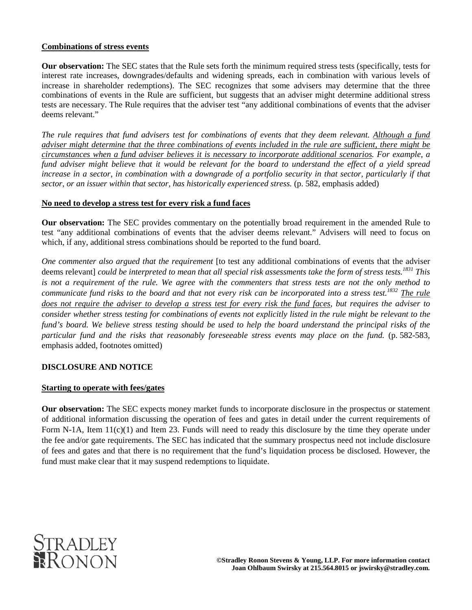# **Combinations of stress events**

**Our observation:** The SEC states that the Rule sets forth the minimum required stress tests (specifically, tests for interest rate increases, downgrades/defaults and widening spreads, each in combination with various levels of increase in shareholder redemptions). The SEC recognizes that some advisers may determine that the three combinations of events in the Rule are sufficient, but suggests that an adviser might determine additional stress tests are necessary. The Rule requires that the adviser test "any additional combinations of events that the adviser deems relevant."

*The rule requires that fund advisers test for combinations of events that they deem relevant. Although a fund adviser might determine that the three combinations of events included in the rule are sufficient, there might be circumstances when a fund adviser believes it is necessary to incorporate additional scenarios. For example, a fund adviser might believe that it would be relevant for the board to understand the effect of a yield spread*  increase in a sector, in combination with a downgrade of a portfolio security in that sector, particularly if that *sector, or an issuer within that sector, has historically experienced stress.* (p. 582, emphasis added)

### **No need to develop a stress test for every risk a fund faces**

**Our observation:** The SEC provides commentary on the potentially broad requirement in the amended Rule to test "any additional combinations of events that the adviser deems relevant." Advisers will need to focus on which, if any, additional stress combinations should be reported to the fund board.

*One commenter also argued that the requirement* [to test any additional combinations of events that the adviser deems relevant] *could be interpreted to mean that all special risk assessments take the form of stress tests.1831 This is not a requirement of the rule. We agree with the commenters that stress tests are not the only method to communicate fund risks to the board and that not every risk can be incorporated into a stress test.1832 The rule does not require the adviser to develop a stress test for every risk the fund faces, but requires the adviser to consider whether stress testing for combinations of events not explicitly listed in the rule might be relevant to the fund's board. We believe stress testing should be used to help the board understand the principal risks of the particular fund and the risks that reasonably foreseeable stress events may place on the fund.* (p. 582-583, emphasis added, footnotes omitted)

# **DISCLOSURE AND NOTICE**

#### **Starting to operate with fees/gates**

**Our observation:** The SEC expects money market funds to incorporate disclosure in the prospectus or statement of additional information discussing the operation of fees and gates in detail under the current requirements of Form N-1A, Item 11(c)(1) and Item 23. Funds will need to ready this disclosure by the time they operate under the fee and/or gate requirements. The SEC has indicated that the summary prospectus need not include disclosure of fees and gates and that there is no requirement that the fund's liquidation process be disclosed. However, the fund must make clear that it may suspend redemptions to liquidate.

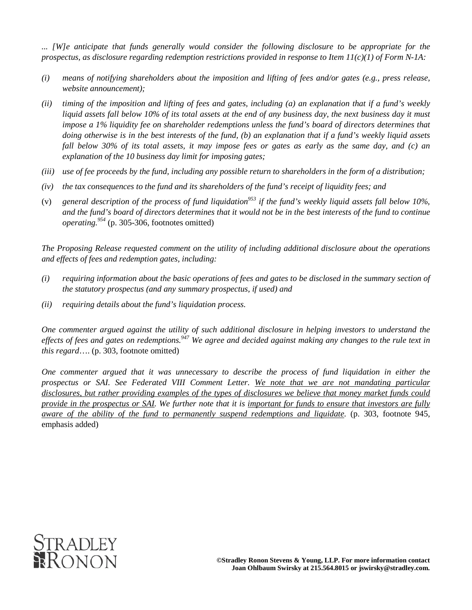*... [W]e anticipate that funds generally would consider the following disclosure to be appropriate for the prospectus, as disclosure regarding redemption restrictions provided in response to Item 11(c)(1) of Form N-1A:* 

- *(i) means of notifying shareholders about the imposition and lifting of fees and/or gates (e.g., press release, website announcement);*
- *(ii) timing of the imposition and lifting of fees and gates, including (a) an explanation that if a fund's weekly liquid assets fall below 10% of its total assets at the end of any business day, the next business day it must impose a 1% liquidity fee on shareholder redemptions unless the fund's board of directors determines that doing otherwise is in the best interests of the fund, (b) an explanation that if a fund's weekly liquid assets fall below 30% of its total assets, it may impose fees or gates as early as the same day, and (c) an explanation of the 10 business day limit for imposing gates;*
- *(iii) use of fee proceeds by the fund, including any possible return to shareholders in the form of a distribution;*
- *(iv) the tax consequences to the fund and its shareholders of the fund's receipt of liquidity fees; and*
- (v) general description of the process of fund liquidation<sup>953</sup> if the fund's weekly liquid assets fall below 10%, *and the fund's board of directors determines that it would not be in the best interests of the fund to continue operating.954* (p. 305-306, footnotes omitted)

*The Proposing Release requested comment on the utility of including additional disclosure about the operations and effects of fees and redemption gates, including:* 

- *(i) requiring information about the basic operations of fees and gates to be disclosed in the summary section of the statutory prospectus (and any summary prospectus, if used) and*
- *(ii) requiring details about the fund's liquidation process.*

*One commenter argued against the utility of such additional disclosure in helping investors to understand the effects of fees and gates on redemptions.<sup>947</sup> We agree and decided against making any changes to the rule text in this regard*…. (p. 303, footnote omitted)

*One commenter argued that it was unnecessary to describe the process of fund liquidation in either the prospectus or SAI. See Federated VIII Comment Letter. We note that we are not mandating particular disclosures, but rather providing examples of the types of disclosures we believe that money market funds could provide in the prospectus or SAI. We further note that it is important for funds to ensure that investors are fully aware of the ability of the fund to permanently suspend redemptions and liquidate.* (p. 303, footnote 945, emphasis added)

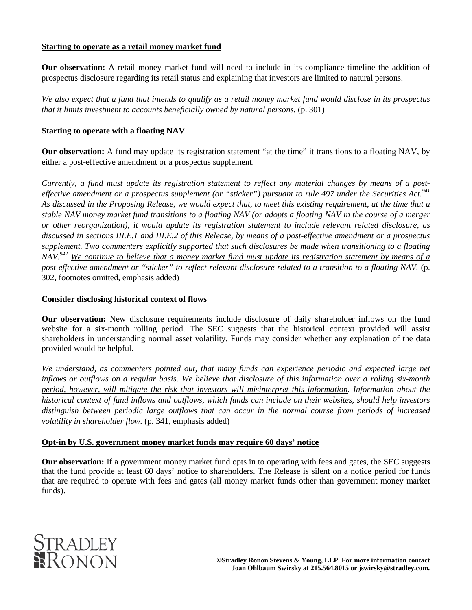### **Starting to operate as a retail money market fund**

**Our observation:** A retail money market fund will need to include in its compliance timeline the addition of prospectus disclosure regarding its retail status and explaining that investors are limited to natural persons.

*We also expect that a fund that intends to qualify as a retail money market fund would disclose in its prospectus that it limits investment to accounts beneficially owned by natural persons.* (p. 301)

#### **Starting to operate with a floating NAV**

**Our observation:** A fund may update its registration statement "at the time" it transitions to a floating NAV, by either a post-effective amendment or a prospectus supplement.

*Currently, a fund must update its registration statement to reflect any material changes by means of a posteffective amendment or a prospectus supplement (or "sticker") pursuant to rule 497 under the Securities Act.*<sup>941</sup> *As discussed in the Proposing Release, we would expect that, to meet this existing requirement, at the time that a stable NAV money market fund transitions to a floating NAV (or adopts a floating NAV in the course of a merger or other reorganization), it would update its registration statement to include relevant related disclosure, as discussed in sections III.E.1 and III.E.2 of this Release, by means of a post-effective amendment or a prospectus supplement. Two commenters explicitly supported that such disclosures be made when transitioning to a floating NAV.942 We continue to believe that a money market fund must update its registration statement by means of a post-effective amendment or "sticker" to reflect relevant disclosure related to a transition to a floating NAV.* (p. 302, footnotes omitted, emphasis added)

### **Consider disclosing historical context of flows**

**Our observation:** New disclosure requirements include disclosure of daily shareholder inflows on the fund website for a six-month rolling period. The SEC suggests that the historical context provided will assist shareholders in understanding normal asset volatility. Funds may consider whether any explanation of the data provided would be helpful.

*We understand, as commenters pointed out, that many funds can experience periodic and expected large net inflows or outflows on a regular basis. We believe that disclosure of this information over a rolling six-month period, however, will mitigate the risk that investors will misinterpret this information. Information about the historical context of fund inflows and outflows, which funds can include on their websites, should help investors distinguish between periodic large outflows that can occur in the normal course from periods of increased volatility in shareholder flow.* (p. 341, emphasis added)

# **Opt-in by U.S. government money market funds may require 60 days' notice**

**Our observation:** If a government money market fund opts in to operating with fees and gates, the SEC suggests that the fund provide at least 60 days' notice to shareholders. The Release is silent on a notice period for funds that are required to operate with fees and gates (all money market funds other than government money market funds).

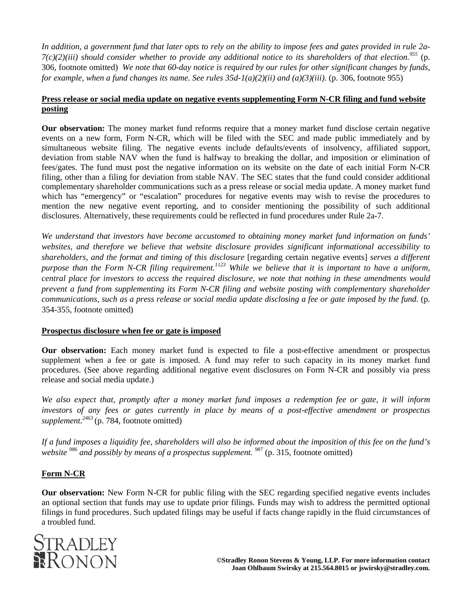*In addition, a government fund that later opts to rely on the ability to impose fees and gates provided in rule 2a-* $7(c)(2)(iii)$  should consider whether to provide any additional notice to its shareholders of that election.<sup>955</sup> (p. 306, footnote omitted) *We note that 60-day notice is required by our rules for other significant changes by funds, for example, when a fund changes its name. See rules*  $35d-1(a)(2)(ii)$  *and*  $(a)(3)(iii)$ *.* (p. 306, footnote 955)

# **Press release or social media update on negative events supplementing Form N-CR filing and fund website posting**

**Our observation:** The money market fund reforms require that a money market fund disclose certain negative events on a new form, Form N-CR, which will be filed with the SEC and made public immediately and by simultaneous website filing. The negative events include defaults/events of insolvency, affiliated support, deviation from stable NAV when the fund is halfway to breaking the dollar, and imposition or elimination of fees/gates. The fund must post the negative information on its website on the date of each initial Form N-CR filing, other than a filing for deviation from stable NAV. The SEC states that the fund could consider additional complementary shareholder communications such as a press release or social media update. A money market fund which has "emergency" or "escalation" procedures for negative events may wish to revise the procedures to mention the new negative event reporting, and to consider mentioning the possibility of such additional disclosures. Alternatively, these requirements could be reflected in fund procedures under Rule 2a-7.

*We understand that investors have become accustomed to obtaining money market fund information on funds' websites, and therefore we believe that website disclosure provides significant informational accessibility to shareholders, and the format and timing of this disclosure* [regarding certain negative events] *serves a different purpose than the Form N-CR filing requirement.1123 While we believe that it is important to have a uniform, central place for investors to access the required disclosure, we note that nothing in these amendments would prevent a fund from supplementing its Form N-CR filing and website posting with complementary shareholder communications, such as a press release or social media update disclosing a fee or gate imposed by the fund.* (p. 354-355, footnote omitted)

# **Prospectus disclosure when fee or gate is imposed**

**Our observation:** Each money market fund is expected to file a post-effective amendment or prospectus supplement when a fee or gate is imposed. A fund may refer to such capacity in its money market fund procedures. (See above regarding additional negative event disclosures on Form N-CR and possibly via press release and social media update.)

*We also expect that, promptly after a money market fund imposes a redemption fee or gate, it will inform investors of any fees or gates currently in place by means of a post-effective amendment or prospectus supplement.<sup>2463</sup>* (p. 784, footnote omitted)

*If a fund imposes a liquidity fee, shareholders will also be informed about the imposition of this fee on the fund's website 986 and possibly by means of a prospectus supplement. 987* (p. 315, footnote omitted)

# **Form N-CR**

**Our observation:** New Form N-CR for public filing with the SEC regarding specified negative events includes an optional section that funds may use to update prior filings. Funds may wish to address the permitted optional filings in fund procedures. Such updated filings may be useful if facts change rapidly in the fluid circumstances of a troubled fund.

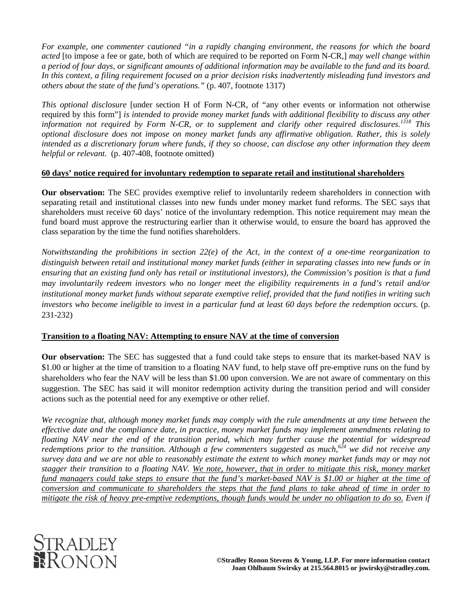*For example, one commenter cautioned "in a rapidly changing environment, the reasons for which the board acted* [to impose a fee or gate, both of which are required to be reported on Form N-CR,] *may well change within a period of four days, or significant amounts of additional information may be available to the fund and its board. In this context, a filing requirement focused on a prior decision risks inadvertently misleading fund investors and others about the state of the fund's operations."* (p. 407, footnote 1317)

*This optional disclosure* [under section H of Form N-CR, of "any other events or information not otherwise required by this form"] *is intended to provide money market funds with additional flexibility to discuss any other information not required by Form N-CR, or to supplement and clarify other required disclosures.1318 This optional disclosure does not impose on money market funds any affirmative obligation. Rather, this is solely intended as a discretionary forum where funds, if they so choose, can disclose any other information they deem helpful or relevant.* (p. 407-408, footnote omitted)

### **60 days' notice required for involuntary redemption to separate retail and institutional shareholders**

**Our observation:** The SEC provides exemptive relief to involuntarily redeem shareholders in connection with separating retail and institutional classes into new funds under money market fund reforms. The SEC says that shareholders must receive 60 days' notice of the involuntary redemption. This notice requirement may mean the fund board must approve the restructuring earlier than it otherwise would, to ensure the board has approved the class separation by the time the fund notifies shareholders.

*Notwithstanding the prohibitions in section 22(e) of the Act, in the context of a one-time reorganization to distinguish between retail and institutional money market funds (either in separating classes into new funds or in ensuring that an existing fund only has retail or institutional investors), the Commission's position is that a fund may involuntarily redeem investors who no longer meet the eligibility requirements in a fund's retail and/or institutional money market funds without separate exemptive relief, provided that the fund notifies in writing such investors who become ineligible to invest in a particular fund at least 60 days before the redemption occurs.* (p. 231-232)

# **Transition to a floating NAV: Attempting to ensure NAV at the time of conversion**

**Our observation:** The SEC has suggested that a fund could take steps to ensure that its market-based NAV is \$1.00 or higher at the time of transition to a floating NAV fund, to help stave off pre-emptive runs on the fund by shareholders who fear the NAV will be less than \$1.00 upon conversion. We are not aware of commentary on this suggestion. The SEC has said it will monitor redemption activity during the transition period and will consider actions such as the potential need for any exemptive or other relief.

*We recognize that, although money market funds may comply with the rule amendments at any time between the effective date and the compliance date, in practice, money market funds may implement amendments relating to floating NAV near the end of the transition period, which may further cause the potential for widespread redemptions prior to the transition. Although a few commenters suggested as much*,<sup>624</sup> *we did not receive any survey data and we are not able to reasonably estimate the extent to which money market funds may or may not stagger their transition to a floating NAV. We note, however, that in order to mitigate this risk, money market fund managers could take steps to ensure that the fund's market-based NAV is \$1.00 or higher at the time of conversion and communicate to shareholders the steps that the fund plans to take ahead of time in order to mitigate the risk of heavy pre-emptive redemptions, though funds would be under no obligation to do so. Even if* 

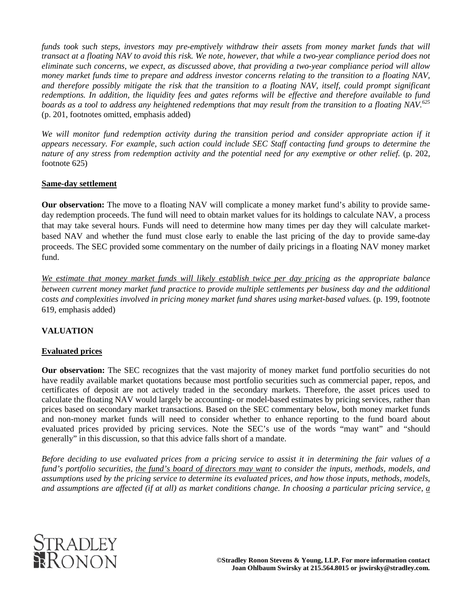*funds took such steps, investors may pre-emptively withdraw their assets from money market funds that will transact at a floating NAV to avoid this risk. We note, however, that while a two-year compliance period does not eliminate such concerns, we expect, as discussed above, that providing a two-year compliance period will allow money market funds time to prepare and address investor concerns relating to the transition to a floating NAV,*  and therefore possibly mitigate the risk that the transition to a floating NAV, itself, could prompt significant *redemptions. In addition, the liquidity fees and gates reforms will be effective and therefore available to fund boards as a tool to address any heightened redemptions that may result from the transition to a floating NAV.<sup>625</sup>* (p. 201, footnotes omitted, emphasis added)

*We will monitor fund redemption activity during the transition period and consider appropriate action if it appears necessary. For example, such action could include SEC Staff contacting fund groups to determine the nature of any stress from redemption activity and the potential need for any exemptive or other relief.* (p. 202, footnote 625)

# **Same-day settlement**

**Our observation:** The move to a floating NAV will complicate a money market fund's ability to provide sameday redemption proceeds. The fund will need to obtain market values for its holdings to calculate NAV, a process that may take several hours. Funds will need to determine how many times per day they will calculate marketbased NAV and whether the fund must close early to enable the last pricing of the day to provide same-day proceeds. The SEC provided some commentary on the number of daily pricings in a floating NAV money market fund.

*We estimate that money market funds will likely establish twice per day pricing as the appropriate balance between current money market fund practice to provide multiple settlements per business day and the additional costs and complexities involved in pricing money market fund shares using market-based values.* (p. 199, footnote 619, emphasis added)

# **VALUATION**

# **Evaluated prices**

**Our observation:** The SEC recognizes that the vast majority of money market fund portfolio securities do not have readily available market quotations because most portfolio securities such as commercial paper, repos, and certificates of deposit are not actively traded in the secondary markets. Therefore, the asset prices used to calculate the floating NAV would largely be accounting- or model-based estimates by pricing services, rather than prices based on secondary market transactions. Based on the SEC commentary below, both money market funds and non-money market funds will need to consider whether to enhance reporting to the fund board about evaluated prices provided by pricing services. Note the SEC's use of the words "may want" and "should generally" in this discussion, so that this advice falls short of a mandate.

*Before deciding to use evaluated prices from a pricing service to assist it in determining the fair values of a fund's portfolio securities, the fund's board of directors may want to consider the inputs, methods, models, and assumptions used by the pricing service to determine its evaluated prices, and how those inputs, methods, models, and assumptions are affected (if at all) as market conditions change. In choosing a particular pricing service, a* 

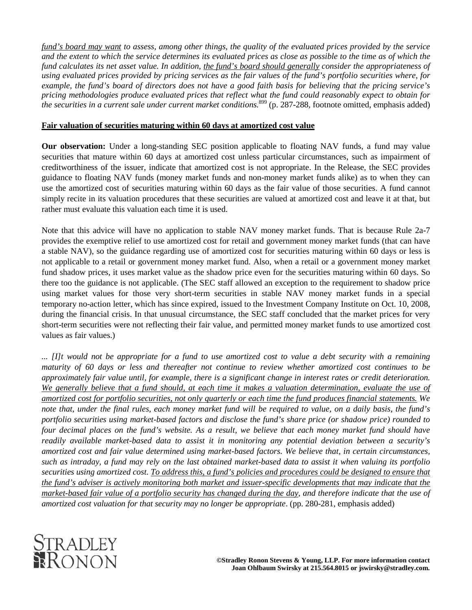*fund's board may want to assess, among other things, the quality of the evaluated prices provided by the service and the extent to which the service determines its evaluated prices as close as possible to the time as of which the fund calculates its net asset value. In addition, the fund's board should generally consider the appropriateness of using evaluated prices provided by pricing services as the fair values of the fund's portfolio securities where, for example, the fund's board of directors does not have a good faith basis for believing that the pricing service's pricing methodologies produce evaluated prices that reflect what the fund could reasonably expect to obtain for the securities in a current sale under current market conditions.*<sup>899</sup> (p. 287-288, footnote omitted, emphasis added)

#### **Fair valuation of securities maturing within 60 days at amortized cost value**

**Our observation:** Under a long-standing SEC position applicable to floating NAV funds, a fund may value securities that mature within 60 days at amortized cost unless particular circumstances, such as impairment of creditworthiness of the issuer, indicate that amortized cost is not appropriate. In the Release, the SEC provides guidance to floating NAV funds (money market funds and non-money market funds alike) as to when they can use the amortized cost of securities maturing within 60 days as the fair value of those securities. A fund cannot simply recite in its valuation procedures that these securities are valued at amortized cost and leave it at that, but rather must evaluate this valuation each time it is used.

Note that this advice will have no application to stable NAV money market funds. That is because Rule 2a-7 provides the exemptive relief to use amortized cost for retail and government money market funds (that can have a stable NAV), so the guidance regarding use of amortized cost for securities maturing within 60 days or less is not applicable to a retail or government money market fund. Also, when a retail or a government money market fund shadow prices, it uses market value as the shadow price even for the securities maturing within 60 days. So there too the guidance is not applicable. (The SEC staff allowed an exception to the requirement to shadow price using market values for those very short-term securities in stable NAV money market funds in a special temporary no-action letter, which has since expired, issued to the Investment Company Institute on Oct. 10, 2008, during the financial crisis. In that unusual circumstance, the SEC staff concluded that the market prices for very short-term securities were not reflecting their fair value, and permitted money market funds to use amortized cost values as fair values.)

*... [I]t would not be appropriate for a fund to use amortized cost to value a debt security with a remaining maturity of 60 days or less and thereafter not continue to review whether amortized cost continues to be approximately fair value until, for example, there is a significant change in interest rates or credit deterioration. We generally believe that a fund should, at each time it makes a valuation determination, evaluate the use of amortized cost for portfolio securities, not only quarterly or each time the fund produces financial statements. We note that, under the final rules, each money market fund will be required to value, on a daily basis, the fund's portfolio securities using market-based factors and disclose the fund's share price (or shadow price) rounded to four decimal places on the fund's website. As a result, we believe that each money market fund should have readily available market-based data to assist it in monitoring any potential deviation between a security's amortized cost and fair value determined using market-based factors. We believe that, in certain circumstances, such as intraday, a fund may rely on the last obtained market-based data to assist it when valuing its portfolio securities using amortized cost. To address this, a fund's policies and procedures could be designed to ensure that the fund's adviser is actively monitoring both market and issuer-specific developments that may indicate that the market-based fair value of a portfolio security has changed during the day, and therefore indicate that the use of amortized cost valuation for that security may no longer be appropriate*. (pp. 280-281, emphasis added)

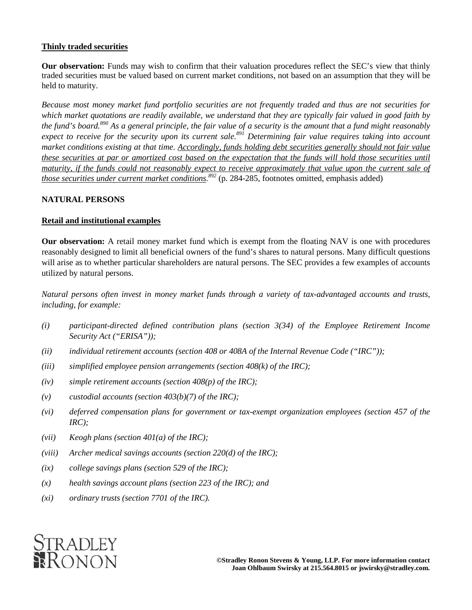# **Thinly traded securities**

**Our observation:** Funds may wish to confirm that their valuation procedures reflect the SEC's view that thinly traded securities must be valued based on current market conditions, not based on an assumption that they will be held to maturity.

*Because most money market fund portfolio securities are not frequently traded and thus are not securities for which market quotations are readily available, we understand that they are typically fair valued in good faith by the fund's board.890 As a general principle, the fair value of a security is the amount that a fund might reasonably expect to receive for the security upon its current sale.891 Determining fair value requires taking into account market conditions existing at that time. Accordingly, funds holding debt securities generally should not fair value these securities at par or amortized cost based on the expectation that the funds will hold those securities until maturity, if the funds could not reasonably expect to receive approximately that value upon the current sale of those securities under current market conditions. <sup>892</sup>* (p. 284-285, footnotes omitted, emphasis added)

### **NATURAL PERSONS**

### **Retail and institutional examples**

**Our observation:** A retail money market fund which is exempt from the floating NAV is one with procedures reasonably designed to limit all beneficial owners of the fund's shares to natural persons. Many difficult questions will arise as to whether particular shareholders are natural persons. The SEC provides a few examples of accounts utilized by natural persons.

*Natural persons often invest in money market funds through a variety of tax-advantaged accounts and trusts, including, for example:* 

- *(i) participant-directed defined contribution plans (section 3(34) of the Employee Retirement Income Security Act ("ERISA"));*
- *(ii) individual retirement accounts (section 408 or 408A of the Internal Revenue Code ("IRC"));*
- *(iii) simplified employee pension arrangements (section 408(k) of the IRC);*
- *(iv) simple retirement accounts (section 408(p) of the IRC);*
- *(v) custodial accounts (section 403(b)(7) of the IRC);*
- *(vi) deferred compensation plans for government or tax-exempt organization employees (section 457 of the IRC);*
- *(vii) Keogh plans (section 401(a) of the IRC);*
- *(viii) Archer medical savings accounts (section 220(d) of the IRC);*
- *(ix) college savings plans (section 529 of the IRC);*
- *(x) health savings account plans (section 223 of the IRC); and*
- *(xi) ordinary trusts (section 7701 of the IRC).*